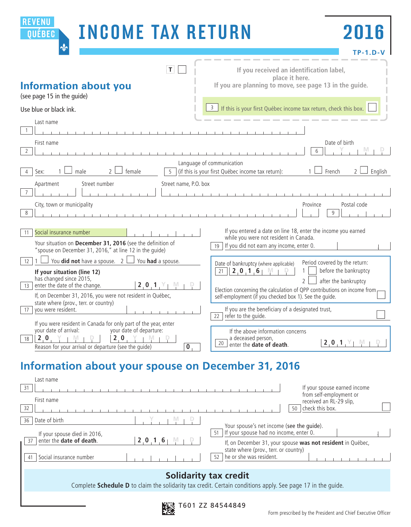| REVENU<br><b>INCOME TAX RETURN</b><br>QUÉBEC<br>$\mathbf{\Phi}$                                                                                                                                                                                                                                                                                                                    | 2016<br>TP-1.D-V                                                               |
|------------------------------------------------------------------------------------------------------------------------------------------------------------------------------------------------------------------------------------------------------------------------------------------------------------------------------------------------------------------------------------|--------------------------------------------------------------------------------|
| $ \mathbf{T} $<br>If you received an identification label,<br>place it here.<br>If you are planning to move, see page 13 in the guide.<br><b>Information about you</b><br>(see page 15 in the guide)                                                                                                                                                                               |                                                                                |
| 3<br>If this is your first Québec income tax return, check this box.<br>Use blue or black ink.<br>Last name<br>$\mathbf{1}$                                                                                                                                                                                                                                                        |                                                                                |
| First name<br>$\overline{2}$<br>Language of communication                                                                                                                                                                                                                                                                                                                          | Date of birth<br>6                                                             |
| $\mathcal{L}$<br>female<br>$\overline{5}$<br>(if this is your first Québec income tax return):<br>Sex:<br>male<br>4<br>Street number<br>Apartment<br>Street name, P.O. box                                                                                                                                                                                                         | French<br>English<br>$\overline{2}$                                            |
| $\overline{7}$<br>City, town or municipality<br>8                                                                                                                                                                                                                                                                                                                                  | Postal code<br>Province<br>9                                                   |
| If you entered a date on line 18, enter the income you earned<br>Social insurance number<br>11<br>while you were not resident in Canada.<br>Your situation on December 31, 2016 (see the definition of<br>If you did not earn any income, enter 0.<br>19<br>"spouse on December 31, 2016," at line 12 in the quide)                                                                |                                                                                |
| You <b>did not</b> have a spouse. $\overline{2}$<br>You had a spouse.<br>12<br>Date of bankruptcy (where applicable)<br>2, 0, 1, 6<br>21<br>If your situation (line 12)<br>has changed since 2015,<br>$\overline{2}$<br>2, 0, 1, Y<br>$N_{-1}$                                                                                                                                     | Period covered by the return:<br>before the bankruptcy<br>after the bankruptcy |
| enter the date of the change.<br>13<br>Election concerning the calculation of QPP contributions on income from<br>If, on December 31, 2016, you were not resident in Québec,<br>self-employment (if you checked box 1). See the quide.<br>state where (prov., terr. or country)<br>If you are the beneficiary of a designated trust,<br>you were resident.<br>17                   |                                                                                |
| refer to the quide.<br>22<br>If you were resident in Canada for only part of the year, enter<br>your date of arrival:<br>your date of departure:<br>If the above information concerns<br>$2.0 \times +1$<br>2.0<br>a deceased person,<br>- 1 VI<br>18<br>20<br>enter the <b>date of death</b> .<br>Reason for your arrival or departure (see the quide)<br>$\overline{\mathbf{0}}$ | 2, 0, 1, Y<br>-M                                                               |

# **Information about your spouse on December 31, 2016**

| Last name<br>-31                                                             | If your spouse earned income<br>from self-employment or                                                                                     |
|------------------------------------------------------------------------------|---------------------------------------------------------------------------------------------------------------------------------------------|
| First name<br>32                                                             | received an RL-29 slip,<br>check this box.<br>50                                                                                            |
| Date of birth<br>36<br>If your spouse died in 2016,                          | Your spouse's net income (see the guide).<br>If your spouse had no income, enter 0.<br>51                                                   |
| enter the date of death.<br>$2.0$ 1 6<br>37<br>Social insurance number<br>41 | If, on December 31, your spouse was not resident in Québec,<br>state where (prov., terr. or country)<br>he or she was resident.<br>52       |
|                                                                              | <b>Solidarity tax credit</b><br>Complete Schedule D to claim the solidarity tax credit. Certain conditions apply. See page 17 in the quide. |

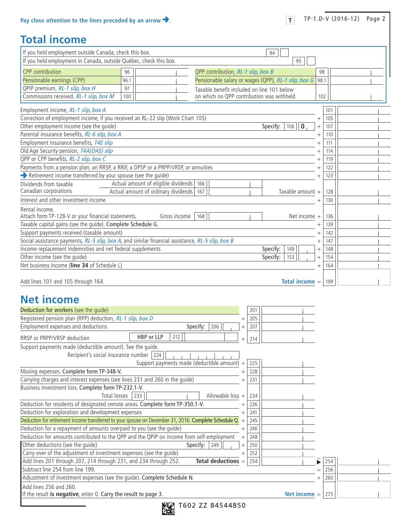#### **Total income**

| If you held employment outside Canada, check this box.                                                |                                     |                                                                                         |     | 94               |                |            |  |
|-------------------------------------------------------------------------------------------------------|-------------------------------------|-----------------------------------------------------------------------------------------|-----|------------------|----------------|------------|--|
| If you held employment in Canada, outside Québec, check this box.                                     |                                     |                                                                                         |     | 95               |                |            |  |
| <b>CPP</b> contribution                                                                               | 96                                  | QPP contribution, RL-1 slip, box B                                                      |     |                  |                |            |  |
| Pensionable earnings (CPP)                                                                            | 96.1                                | Pensionable salary or wages (QPP), RL-1 slip, box G                                     |     |                  |                | 98<br>98.1 |  |
| QPIP premium, RL-1 slip, box H                                                                        | 97                                  |                                                                                         |     |                  |                |            |  |
| Commissions received, RL-1 slip, box M                                                                | 100                                 | Taxable benefit included on line 101 below<br>on which no QPP contribution was withheld |     |                  |                | 102        |  |
|                                                                                                       |                                     |                                                                                         |     |                  |                |            |  |
| Employment income, RL-1 slip, box A                                                                   |                                     |                                                                                         |     |                  |                | 101        |  |
| Correction of employment income, if you received an RL-22 slip (Work Chart 105)                       |                                     |                                                                                         |     |                  | $^{+}$         | 105        |  |
| Other employment income (see the quide)                                                               |                                     |                                                                                         |     | Specify:<br>106  | $\bf{0}$       | 107        |  |
| Parental insurance benefits, RL-6 slip, box A                                                         |                                     |                                                                                         |     |                  | $^{+}$         | 110        |  |
| Employment Insurance benefits, T4E slip                                                               |                                     |                                                                                         |     |                  |                | 111        |  |
| Old Age Security pension, T4A(OAS) slip                                                               |                                     |                                                                                         |     |                  |                | 114        |  |
| QPP or CPP benefits, RL-2 slip, box C                                                                 |                                     |                                                                                         |     |                  |                | 119        |  |
| Payments from a pension plan, an RRSP, a RRIF, a DPSP or a PRPP/VRSP, or annuities                    |                                     |                                                                                         |     |                  |                | 122        |  |
| Retirement income transferred by your spouse (see the guide)                                          |                                     |                                                                                         |     |                  |                | 123        |  |
| Dividends from taxable<br>Canadian corporations                                                       | Actual amount of eligible dividends | 166                                                                                     |     |                  |                |            |  |
| Interest and other investment income                                                                  | Actual amount of ordinary dividends | 167                                                                                     |     | Taxable amount + |                | 128        |  |
|                                                                                                       |                                     |                                                                                         |     |                  |                | 130        |  |
| Rental income.<br>Attach form TP-128-V or your financial statements.                                  | Gross income                        | 168                                                                                     |     |                  | Net income $+$ | 136        |  |
| Taxable capital gains (see the guide). Complete Schedule G.                                           |                                     |                                                                                         |     |                  |                | 139        |  |
| Support payments received (taxable amount)                                                            |                                     |                                                                                         |     |                  |                | 142        |  |
| Social assistance payments, RL-5 slip, box A, and similar financial assistance, RL-5 slip, box B      |                                     |                                                                                         |     |                  | $^+$           | 147        |  |
| Income replacement indemnities and net federal supplements                                            |                                     |                                                                                         |     | Specify:<br>149  |                | 148        |  |
| Other income (see the guide)                                                                          |                                     |                                                                                         |     | Specify:<br>153  |                | 154        |  |
| Net business income (line 34 of Schedule L)                                                           |                                     |                                                                                         |     |                  | $^{+}$         | 164        |  |
|                                                                                                       |                                     |                                                                                         |     |                  |                |            |  |
| Add lines 101 and 105 through 164.                                                                    |                                     |                                                                                         |     | Total income =   |                | 199        |  |
|                                                                                                       |                                     |                                                                                         |     |                  |                |            |  |
| <b>Net income</b>                                                                                     |                                     |                                                                                         |     |                  |                |            |  |
| Deduction for workers (see the guide)                                                                 |                                     |                                                                                         | 201 |                  |                |            |  |
| Registered pension plan (RPP) deduction, RL-1 slip, box D                                             |                                     | $^{+}$                                                                                  | 205 |                  |                |            |  |
| Employment expenses and deductions                                                                    |                                     | Specify:<br>206<br>$\overline{+}$                                                       | 207 |                  |                |            |  |
| RRSP or PRPP/VRSP deduction                                                                           | 212<br>HBP or LLP                   |                                                                                         | 214 |                  |                |            |  |
| Support payments made (deductible amount). See the quide.                                             |                                     |                                                                                         |     |                  |                |            |  |
| Recipient's social insurance number 224                                                               |                                     |                                                                                         |     |                  |                |            |  |
|                                                                                                       |                                     | Support payments made (deductible amount) +                                             | 225 |                  |                |            |  |
| Moving expenses. Complete form TP-348-V.                                                              |                                     |                                                                                         | 228 |                  |                |            |  |
| Carrying charges and interest expenses (see lines 231 and 260 in the guide)                           |                                     |                                                                                         | 231 |                  |                |            |  |
| Business investment loss. Complete form TP-232.1-V.                                                   |                                     |                                                                                         |     |                  |                |            |  |
| Total losses                                                                                          | 233                                 | Allowable loss +                                                                        | 234 |                  |                |            |  |
| Deduction for residents of designated remote areas. Complete form TP-350.1-V.                         |                                     |                                                                                         | 236 |                  |                |            |  |
| Deduction for exploration and development expenses                                                    |                                     | $^+$                                                                                    | 241 |                  |                |            |  |
| Deduction for retirement income transferred to your spouse on December 31, 2016. Complete Schedule Q. |                                     |                                                                                         | 245 |                  |                |            |  |
| Deduction for a repayment of amounts overpaid to you (see the guide)                                  |                                     | $^{+}$                                                                                  | 246 |                  |                |            |  |
| Deduction for amounts contributed to the QPP and the QPIP on income from self-employment              |                                     | $\! + \!\!\!\!$                                                                         | 248 |                  |                |            |  |
| Other deductions (see the guide)                                                                      |                                     | Specify:<br>249<br>$\overline{+}$                                                       | 250 |                  |                |            |  |
| Carry-over of the adjustment of investment expenses (see the guide)                                   |                                     | $^{+}$                                                                                  | 252 |                  |                |            |  |
| Add lines 201 through 207, 214 through 231, and 234 through 252.                                      |                                     | Total deductions =                                                                      | 254 |                  |                | 254        |  |

| Subtract line 254 from line 199.                                                          | $=$ | 256 |  |
|-------------------------------------------------------------------------------------------|-----|-----|--|
| Adjustment of investment expenses (see the guide). Complete Schedule N.                   |     | 260 |  |
| Add lines 256 and 260.                                                                    |     |     |  |
| If the result is negative, enter 0. Carry the result to page 3.<br>Net income $=$ $\vert$ |     | 275 |  |
|                                                                                           |     |     |  |

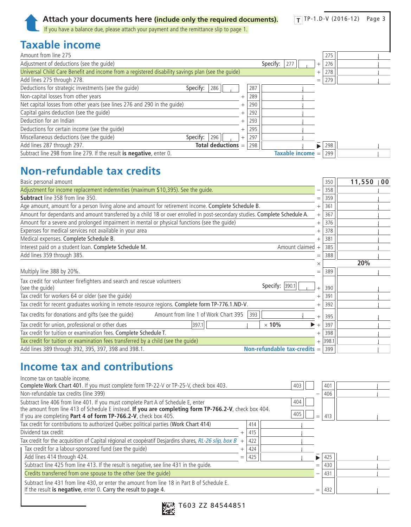### **Taxable income**

| Amount from line 275                                                                              |        |     |                    |        | 275 |  |
|---------------------------------------------------------------------------------------------------|--------|-----|--------------------|--------|-----|--|
| Adjustment of deductions (see the quide)                                                          |        |     | Specify:<br>277    | $^{+}$ | 276 |  |
| Universal Child Care Benefit and income from a registered disability savings plan (see the quide) |        |     |                    | $^{+}$ | 278 |  |
| Add lines 275 through 278.                                                                        |        |     |                    | $=$    | 279 |  |
| Deductions for strategic investments (see the quide)<br>Specify:<br>286                           |        | 287 |                    |        |     |  |
| Non-capital losses from other years                                                               |        | 289 |                    |        |     |  |
| Net capital losses from other years (see lines 276 and 290 in the quide)                          |        | 290 |                    |        |     |  |
| Capital gains deduction (see the guide)                                                           |        | 292 |                    |        |     |  |
| Deduction for an Indian                                                                           |        | 293 |                    |        |     |  |
| Deductions for certain income (see the quide)                                                     |        | 295 |                    |        |     |  |
| Miscellaneous deductions (see the quide)<br>Specify:<br>296                                       | $^{+}$ | 297 |                    |        |     |  |
| Add lines 287 through 297.<br>Total deductions $=$                                                |        | 298 |                    |        | 298 |  |
| Subtract line 298 from line 279. If the result is negative, enter 0.                              |        |     | Taxable income $=$ |        | 299 |  |

### **Non-refundable tax credits**

| Basic personal amount                                                                                                       |          | 350       | 11,550 | $\sqrt{0}0$ |
|-----------------------------------------------------------------------------------------------------------------------------|----------|-----------|--------|-------------|
| Adjustment for income replacement indemnities (maximum \$10,395). See the quide.                                            |          | 358       |        |             |
| <b>Subtract</b> line 358 from line 350.                                                                                     | $=$      | 359       |        |             |
| Age amount, amount for a person living alone and amount for retirement income. Complete Schedule B.                         | $^{+}$   | 361       |        |             |
| Amount for dependants and amount transferred by a child 18 or over enrolled in post-secondary studies. Complete Schedule A. | $^{+}$   | 367       |        |             |
| Amount for a severe and prolonged impairment in mental or physical functions (see the guide)                                | $^{+}$   | 376       |        |             |
| Expenses for medical services not available in your area                                                                    | $^{+}$   | 378       |        |             |
| Medical expenses. Complete Schedule B.                                                                                      | $^{+}$   | 381       |        |             |
| Amount claimed +<br>Interest paid on a student loan. Complete Schedule M.                                                   |          | 385       |        |             |
| Add lines 359 through 385.                                                                                                  | $=$      | 388       |        |             |
|                                                                                                                             | $\times$ |           | 20%    |             |
| Multiply line 388 by 20%.                                                                                                   | $=$      | 389       |        |             |
| Tax credit for volunteer firefighters and search and rescue volunteers<br>Specify: 390.1<br>(see the guide)                 | $^{+}$   | 390       |        |             |
| Tax credit for workers 64 or older (see the quide)                                                                          | $^{+}$   | 391       |        |             |
| Tax credit for recent graduates working in remote resource regions. Complete form TP-776.1.ND-V.                            | $^+$     | 392       |        |             |
| Tax credits for donations and gifts (see the guide)<br>Amount from line 1 of Work Chart 395 393                             |          | 395       |        |             |
| Tax credit for union, professional or other dues<br>$\times$ 10%<br>397.1                                                   | $^{+}$   | 397       |        |             |
| Tax credit for tuition or examination fees. Complete Schedule T.                                                            | $^{+}$   | 398       |        |             |
| Tax credit for tuition or examination fees transferred by a child (see the quide)                                           |          | $+$ 398.1 |        |             |
| Non-refundable tax-credits $=$<br>Add lines 389 through 392, 395, 397, 398 and 398.1.                                       |          | 399       |        |             |

### **Income tax and contributions**

| Complete Work Chart 401. If you must complete form TP-22-V or TP-25-V, check box 403.<br>403 |                                                                                                       |            |                                                                                                       |     |     |
|----------------------------------------------------------------------------------------------|-------------------------------------------------------------------------------------------------------|------------|-------------------------------------------------------------------------------------------------------|-----|-----|
|                                                                                              |                                                                                                       |            | $\overline{\phantom{0}}$                                                                              | 406 |     |
|                                                                                              |                                                                                                       | 404<br>405 | $=$                                                                                                   | 413 |     |
|                                                                                              | 414                                                                                                   |            |                                                                                                       |     |     |
|                                                                                              | 415                                                                                                   |            |                                                                                                       |     |     |
| $+$                                                                                          | 422                                                                                                   |            |                                                                                                       |     |     |
|                                                                                              | 424                                                                                                   |            |                                                                                                       |     |     |
| $=$                                                                                          | 425                                                                                                   |            |                                                                                                       | 425 |     |
|                                                                                              |                                                                                                       |            | $=$                                                                                                   | 430 |     |
|                                                                                              |                                                                                                       |            | —                                                                                                     | 431 |     |
|                                                                                              |                                                                                                       |            | $=$                                                                                                   | 432 |     |
|                                                                                              | Tax credit for the acquisition of Capital régional et coopératif Desjardins shares, RL-26 slip, box B |            | the amount from line 413 of Schedule E instead. If you are completing form TP-766.2-V, check box 404. |     | 401 |